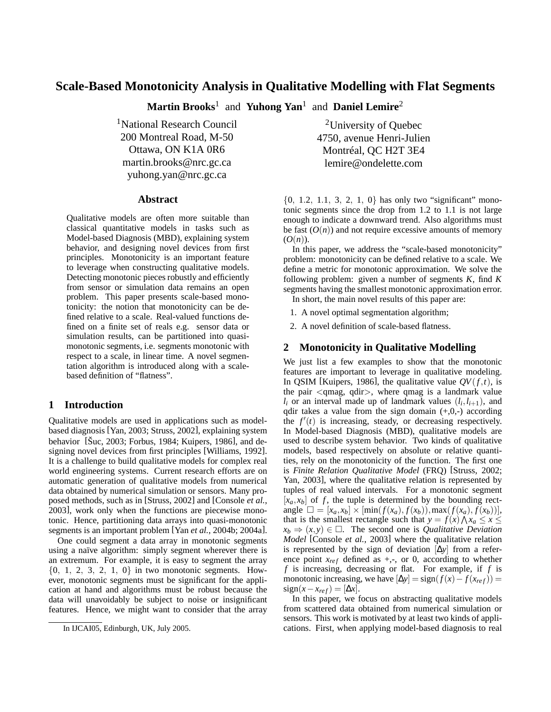# **Scale-Based Monotonicity Analysis in Qualitative Modelling with Flat Segments**

**Martin Brooks**<sup>1</sup> and **Yuhong Yan**<sup>1</sup> and **Daniel Lemire**<sup>2</sup>

<sup>1</sup>National Research Council 200 Montreal Road, M-50 Ottawa, ON K1A 0R6 martin.brooks@nrc.gc.ca yuhong.yan@nrc.gc.ca

## **Abstract**

Qualitative models are often more suitable than classical quantitative models in tasks such as Model-based Diagnosis (MBD), explaining system behavior, and designing novel devices from first principles. Monotonicity is an important feature to leverage when constructing qualitative models. Detecting monotonic pieces robustly and efficiently from sensor or simulation data remains an open problem. This paper presents scale-based monotonicity: the notion that monotonicity can be defined relative to a scale. Real-valued functions defined on a finite set of reals e.g. sensor data or simulation results, can be partitioned into quasimonotonic segments, i.e. segments monotonic with respect to a scale, in linear time. A novel segmentation algorithm is introduced along with a scalebased definition of "flatness".

## **1 Introduction**

Qualitative models are used in applications such as modelbased diagnosis [Yan, 2003; Struss, 2002], explaining system behavior [Šuc, 2003; Forbus, 1984; Kuipers, 1986], and designing novel devices from first principles [Williams, 1992]. It is a challenge to build qualitative models for complex real world engineering systems. Current research efforts are on automatic generation of qualitative models from numerical data obtained by numerical simulation or sensors. Many proposed methods, such as in [Struss, 2002] and [Console *et al.*, 2003], work only when the functions are piecewise monotonic. Hence, partitioning data arrays into quasi-monotonic segments is an important problem [Yan *et al.*, 2004b; 2004a].

One could segment a data array in monotonic segments using a naïve algorithm: simply segment wherever there is an extremum. For example, it is easy to segment the array  $\{0, 1, 2, 3, 2, 1, 0\}$  in two monotonic segments. However, monotonic segments must be significant for the application at hand and algorithms must be robust because the data will unavoidably be subject to noise or insignificant features. Hence, we might want to consider that the array

<sup>2</sup>University of Quebec 4750, avenue Henri-Julien Montréal, QC H2T 3E4 lemire@ondelette.com

 $\{0, 1.2, 1.1, 3, 2, 1, 0\}$  has only two "significant" monotonic segments since the drop from 1.2 to 1.1 is not large enough to indicate a downward trend. Also algorithms must be fast  $(O(n))$  and not require excessive amounts of memory  $(O(n)).$ 

In this paper, we address the "scale-based monotonicity" problem: monotonicity can be defined relative to a scale. We define a metric for monotonic approximation. We solve the following problem: given a number of segments *K*, find *K* segments having the smallest monotonic approximation error. In short, the main novel results of this paper are:

- 1. A novel optimal segmentation algorithm;
- 2. A novel definition of scale-based flatness.

## **2 Monotonicity in Qualitative Modelling**

We just list a few examples to show that the monotonic features are important to leverage in qualitative modeling. In QSIM [Kuipers, 1986], the qualitative value  $QV(f,t)$ , is the pair  $\langle$ qmag, qdir $\rangle$ , where qmag is a landmark value  $l_i$  or an interval made up of landmark values  $(l_i, l_{i+1})$ , and qdir takes a value from the sign domain  $(+,0,-)$  according the  $f'(t)$  is increasing, steady, or decreasing respectively. In Model-based Diagnosis (MBD), qualitative models are used to describe system behavior. Two kinds of qualitative models, based respectively on absolute or relative quantities, rely on the monotonicity of the function. The first one is *Finite Relation Qualitative Model* (FRQ) [Struss, 2002; Yan, 2003], where the qualitative relation is represented by tuples of real valued intervals. For a monotonic segment  $[x_a, x_b]$  of f, the tuple is determined by the bounding rect $angle \Box = [x_a, x_b] \times [min(f(x_a), f(x_b)), max(f(x_a), f(x_b))],$ that is the smallest rectangle such that  $y = f(x) \wedge x_a \le x \le$  $x_b \Rightarrow (x, y) \in \Box$ . The second one is *Qualitative Deviation Model* [Console *et al.*, 2003] where the qualitative relation is represented by the sign of deviation [∆*y*] from a reference point  $x_{ref}$  defined as  $+,-$ , or 0, according to whether *f* is increasing, decreasing or flat. For example, if *f* is monotonic increasing, we have  $[\Delta y] = sign(f(x) - f(x_{ref}))$  $sign(x - x_{ref}) = [\Delta x].$ 

In this paper, we focus on abstracting qualitative models from scattered data obtained from numerical simulation or sensors. This work is motivated by at least two kinds of applications. First, when applying model-based diagnosis to real

In IJCAI05, Edinburgh, UK, July 2005.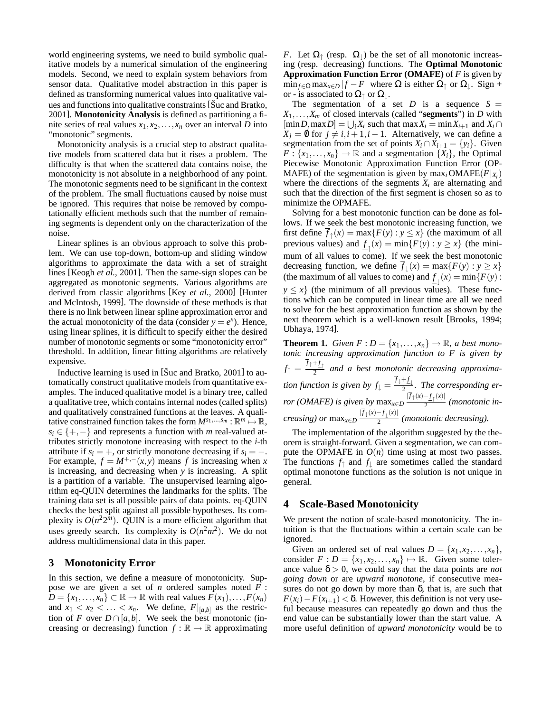world engineering systems, we need to build symbolic qualitative models by a numerical simulation of the engineering models. Second, we need to explain system behaviors from sensor data. Qualitative model abstraction in this paper is defined as transforming numerical values into qualitative values and functions into qualitative constraints [Šuc and Bratko, 2001]. **Monotonicity Analysis** is defined as partitioning a finite series of real values  $x_1, x_2, \ldots, x_n$  over an interval *D* into "monotonic" segments.

Monotonicity analysis is a crucial step to abstract qualitative models from scattered data but it rises a problem. The difficulty is that when the scattered data contains noise, the monotonicity is not absolute in a neighborhood of any point. The monotonic segments need to be significant in the context of the problem. The small fluctuations caused by noise must be ignored. This requires that noise be removed by computationally efficient methods such that the number of remaining segments is dependent only on the characterization of the noise.

Linear splines is an obvious approach to solve this problem. We can use top-down, bottom-up and sliding window algorithms to approximate the data with a set of straight lines [Keogh *et al.*, 2001]. Then the same-sign slopes can be aggregated as monotonic segments. Various algorithms are derived from classic algorithms [Key *et al.*, 2000] [Hunter and McIntosh, 1999]. The downside of these methods is that there is no link between linear spline approximation error and the actual monotonicity of the data (consider  $y = e^x$ ). Hence, using linear splines, it is difficult to specify either the desired number of monotonic segments or some "monotonicity error" threshold. In addition, linear fitting algorithms are relatively expensive.

Inductive learning is used in [Šuc and Bratko, 2001] to automatically construct qualitative models from quantitative examples. The induced qualitative model is a binary tree, called a qualitative tree, which contains internal nodes (called splits) and qualitatively constrained functions at the leaves. A qualitative constrained function takes the form  $M^{s_1,...,s_m} : \mathbb{R}^m \mapsto \mathbb{R}$ ,  $s_i \in \{+, -\}$  and represents a function with *m* real-valued attributes strictly monotone increasing with respect to the *i*-th attribute if  $s_i = +$ , or strictly monotone decreasing if  $s_i = -$ . For example,  $f = M^{+,-}(x, y)$  means *f* is increasing when *x* is increasing, and decreasing when *y* is increasing. A split is a partition of a variable. The unsupervised learning algorithm eq-QUIN determines the landmarks for the splits. The training data set is all possible pairs of data points. eq-QUIN checks the best split against all possible hypotheses. Its complexity is  $O(n^2 2^m)$ . QUIN is a more efficient algorithm that uses greedy search. Its complexity is  $O(n^2m^2)$ . We do not address multidimensional data in this paper.

## **3 Monotonicity Error**

In this section, we define a measure of monotonicity. Suppose we are given a set of *n* ordered samples noted *F* :  $D = \{x_1, \ldots, x_n\} \subset \mathbb{R} \to \mathbb{R}$  with real values  $F(x_1), \ldots, F(x_n)$ and  $x_1 < x_2 < \ldots < x_n$ . We define,  $F|_{[a,b]}$  as the restriction of *F* over  $D \cap [a, b]$ . We seek the best monotonic (increasing or decreasing) function  $f : \mathbb{R} \to \mathbb{R}$  approximating *F*. Let  $\Omega$ <sub>↑</sub> (resp.  $\Omega$ <sub>)</sub>) be the set of all monotonic increasing (resp. decreasing) functions. The **Optimal Monotonic Approximation Function Error (OMAFE)** of *F* is given by  $\min_{f \in \Omega} \max_{x \in D} |f - F|$  where  $\Omega$  is either  $\Omega_{\uparrow}$  or  $\Omega_{\downarrow}$ . Sign + or - is associated to  $\Omega_{\uparrow}$  or  $\Omega_{\downarrow}$ .

The segmentation of a set  $D$  is a sequence  $S =$  $X_1, \ldots, X_m$  of closed intervals (called "**segments**") in *D* with  $[\min D, \max D] = \bigcup_i X_i$  such that  $\max X_i = \min X_{i+1}$  and  $X_i \cap$  $X_i = 0$  for  $j \neq i, i + 1, i - 1$ . Alternatively, we can define a segmentation from the set of points  $X_i \cap X_{i+1} = \{y_i\}$ . Given  $F: \{x_1, \ldots, x_n\} \to \mathbb{R}$  and a segmentation  $\{X_i\}$ , the Optimal Piecewise Monotonic Approximation Function Error (OP-MAFE) of the segmentation is given by  $\max_i \text{OMAFE}(F|x_i)$ where the directions of the segments  $X_i$  are alternating and such that the direction of the first segment is chosen so as to minimize the OPMAFE.

Solving for a best monotonic function can be done as follows. If we seek the best monotonic increasing function, we first define  $\overline{f}_\uparrow(x) = \max\{F(y) : y \leq x\}$  (the maximum of all previous values) and  $\underline{f}_\uparrow(x) = \min\{F(y) : y \ge x\}$  (the minimum of all values to come). If we seek the best monotonic decreasing function, we define  $\overline{f}_\downarrow(x) = \max\{F(y) : y \ge x\}$ (the maximum of all values to come) and  $\underline{f}_{\downarrow}(x) = \min\{F(y) :$  $y \leq x$ } (the minimum of all previous values). These functions which can be computed in linear time are all we need to solve for the best approximation function as shown by the next theorem which is a well-known result [Brooks, 1994; Ubhaya, 1974].

**Theorem 1.** *Given*  $F: D = \{x_1, \ldots, x_n\} \rightarrow \mathbb{R}$ , *a best monotonic increasing approximation function to F is given by*  $f_{\uparrow} = \frac{\overline{f}_{\uparrow} + f_{\uparrow}}{2}$  and a best monotonic decreasing approxima*tion function is given by*  $f_{\downarrow} = \frac{\overline{f}_{\downarrow} + \underline{f}_{\downarrow}}{2}$ *. The corresponding error* (*OMAFE*) is given by  $\max_{x \in D} \frac{|\overline{f_1(x)} - f_1(x)|}{2}$ 2 *(monotonic increasing) or*  $\max_{x \in D} \frac{|\overline{f}_{\downarrow}(x) - \underline{f}_{\downarrow}(x)|}{2}$  $\frac{2}{2}$  (*monotonic decreasing*).

The implementation of the algorithm suggested by the theorem is straight-forward. Given a segmentation, we can compute the OPMAFE in  $O(n)$  time using at most two passes. The functions  $f_{\uparrow}$  and  $f_{\downarrow}$  are sometimes called the standard optimal monotone functions as the solution is not unique in general.

## **4 Scale-Based Monotonicity**

We present the notion of scale-based monotonicity. The intuition is that the fluctuations within a certain scale can be ignored.

Given an ordered set of real values  $D = \{x_1, x_2, \ldots, x_n\},\$ consider  $F: D = \{x_1, x_2, \ldots, x_n\} \mapsto \mathbb{R}$ . Given some tolerance value  $\delta > 0$ , we could say that the data points are *not going down* or are *upward monotone*, if consecutive measures do not go down by more than  $\delta$ , that is, are such that *F*( $x$ <sup>*i*</sup>)−*F*( $x$ <sup>*i*+1</sup>) < δ. However, this definition is not very useful because measures can repeatedly go down and thus the end value can be substantially lower than the start value. A more useful definition of *upward monotonicity* would be to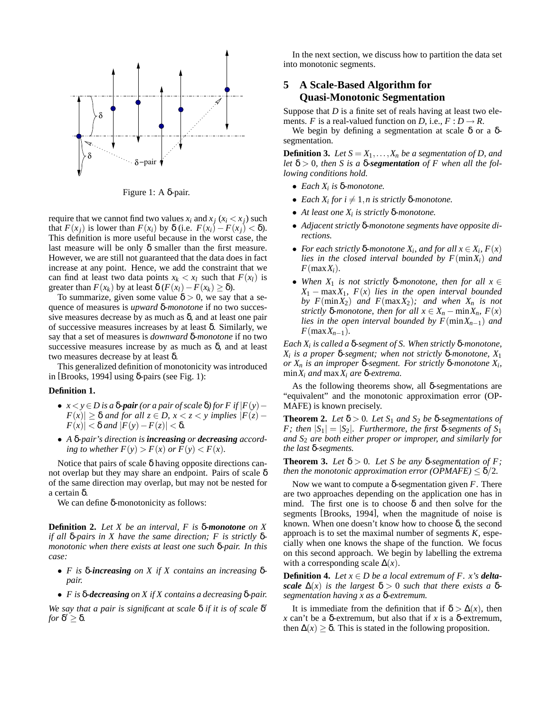

Figure 1: A δ-pair.

require that we cannot find two values  $x_i$  and  $x_j$  ( $x_i < x_j$ ) such that *F*(*x<sub>i</sub>*) is lower than *F*(*x<sub>i</sub>*) by  $\delta$  (i.e. *F*(*x<sub>i</sub>*) − *F*(*x<sub>i</sub>*) <  $\delta$ ). This definition is more useful because in the worst case, the last measure will be only  $\delta$  smaller than the first measure. However, we are still not guaranteed that the data does in fact increase at any point. Hence, we add the constraint that we can find at least two data points  $x_k < x_l$  such that  $F(x_l)$  is greater than  $F(x_k)$  by at least  $\delta(F(x_l) - F(x_k) \ge \delta)$ .

To summarize, given some value  $\delta > 0$ , we say that a sequence of measures is *upward* δ*-monotone* if no two successive measures decrease by as much as  $\delta$ , and at least one pair of successive measures increases by at least δ. Similarly, we say that a set of measures is *downward* δ*-monotone* if no two successive measures increase by as much as  $\delta$ , and at least two measures decrease by at least δ.

This generalized definition of monotonicity was introduced in [Brooks, 1994] using δ-pairs (see Fig. 1):

### **Definition 1.**

- $\bullet$  *x* < *y* ∈ *D* is a **δ**-pair (or a pair of scale **δ**) for *F* if  $|F(y) |F(x)| \geq \delta$  *and for all*  $z \in D$ ,  $x < z < y$  *implies*  $|F(z) |F(x)| < \delta$  *and*  $|F(y) - F(z)| < \delta$ .
- *A* δ*-pair's direction is increasing or decreasing according to whether*  $F(y) > F(x)$  *or*  $F(y) < F(x)$ *.*

Notice that pairs of scale  $\delta$  having opposite directions cannot overlap but they may share an endpoint. Pairs of scale δ of the same direction may overlap, but may not be nested for a certain δ.

We can define δ-monotonicity as follows:

**Definition 2.** *Let X be an interval, F is* δ*-monotone on X if all* δ*-pairs in X have the same direction; F is strictly* δ*monotonic when there exists at least one such* δ*-pair. In this case:*

- *F is* δ*-increasing on X if X contains an increasing* δ*pair.*
- *F is* δ*-decreasing on X if X contains a decreasing* δ*-pair.*

*We say that a pair is significant at scale* δ *if it is of scale* δ 0 *for*  $\delta' \geq \delta$ .

In the next section, we discuss how to partition the data set into monotonic segments.

## **5 A Scale-Based Algorithm for Quasi-Monotonic Segmentation**

Suppose that *D* is a finite set of reals having at least two elements. *F* is a real-valued function on *D*, i.e.,  $F : D \to R$ .

We begin by defining a segmentation at scale  $\delta$  or a δsegmentation.

**Definition 3.** *Let*  $S = X_1, \ldots, X_n$  *be a segmentation of D, and* let  $\delta > 0$ , then S is a  $\delta$ -segmentation of F when all the fol*lowing conditions hold.*

- *Each X<sup>i</sup> is* δ*-monotone.*
- *Each*  $X_i$  *for*  $i \neq 1$ *,n* is strictly  $\delta$ *-monotone.*
- *At least one X<sup>i</sup> is strictly* δ*-monotone.*
- *Adjacent strictly* δ*-monotone segments have opposite directions.*
- *For each strictly*  $\delta$ -monotone  $X_i$ , and for all  $x \in X_i$ ,  $F(x)$ *lies in the closed interval bounded by F*(min*Xi*) *and*  $F$ (max $X_i$ ).
- When  $X_1$  *is not strictly*  $\delta$ -monotone, then for all  $x \in$  $X_1$  – max $X_1$ *, F(x) lies in the open interval bounded by*  $F(\min X_2)$  *and*  $F(\max X_2)$ *; and when*  $X_n$  *is not strictly*  $\delta$ *-monotone, then for all*  $x \in X_n - \min X_n$ ,  $F(x)$ *lies in the open interval bounded by F*(min*Xn*−1) *and F*(max*Xn*−1)*.*

*Each X<sup>i</sup> is called a* δ*-segment of S. When strictly* δ*-monotone, Xi is a proper* δ*-segment; when not strictly* δ*-monotone, X*<sup>1</sup> *or X<sup>n</sup> is an improper* δ*-segment. For strictly* δ*-monotone X<sup>i</sup> ,* min*X<sup>i</sup> and* max*X<sup>i</sup> are* δ*-extrema.*

As the following theorems show, all δ-segmentations are "equivalent" and the monotonic approximation error (OP-MAFE) is known precisely.

**Theorem 2.** *Let*  $\delta > 0$ *. Let*  $S_1$  *and*  $S_2$  *be*  $\delta$ *-segmentations of F*; then  $|S_1| = |S_2|$ *. Furthermore, the first*  $\delta$ -segments of  $S_1$ *and S*<sup>2</sup> *are both either proper or improper, and similarly for the last* δ*-segments.*

**Theorem 3.** *Let*  $\delta > 0$ *. Let S be any*  $\delta$ -*segmentation of F*; *then the monotonic approximation error (OPMAFE)*  $\langle \delta/2$ .

Now we want to compute a δ-segmentation given *F*. There are two approaches depending on the application one has in mind. The first one is to choose  $\delta$  and then solve for the segments [Brooks, 1994], when the magnitude of noise is known. When one doesn't know how to choose δ, the second approach is to set the maximal number of segments *K*, especially when one knows the shape of the function. We focus on this second approach. We begin by labelling the extrema with a corresponding scale  $\Delta(x)$ .

**Definition 4.** *Let*  $x \in D$  *be a local extremum of F. x's deltascale*  $\Delta(x)$  *is the largest*  $\delta > 0$  *such that there exists a* δ*segmentation having x as a* δ*-extremum.*

It is immediate from the definition that if  $\delta > \Delta(x)$ , then *x* can't be a δ-extremum, but also that if *x* is a δ-extremum, then  $\Delta(x) \geq \delta$ . This is stated in the following proposition.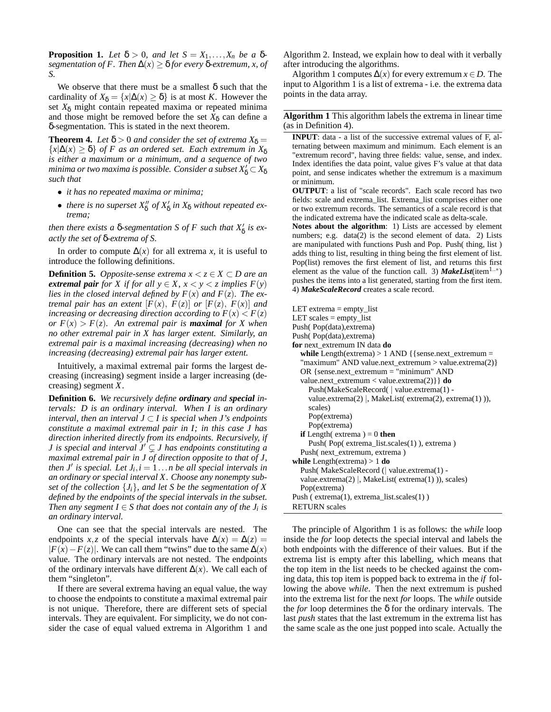**Proposition 1.** *Let*  $\delta > 0$ *, and let*  $S = X_1, \ldots, X_n$  *be a*  $\delta$ *segmentation of F. Then* ∆(*x*) ≥ δ *for every* δ*-extremum, x, of S.*

We observe that there must be a smallest  $\delta$  such that the cardinality of  $X_{\delta} = \{x | \Delta(x) \ge \delta\}$  is at most *K*. However the set  $X_{\delta}$  might contain repeated maxima or repeated minima and those might be removed before the set  $X_{\delta}$  can define a δ-segmentation. This is stated in the next theorem.

**Theorem 4.** *Let*  $\delta > 0$  *and consider the set of extrema*  $X_{\delta} =$  ${x \mid \Delta(x) \geq \delta}$  *of F as an ordered set. Each extremum in*  $X_{\delta}$ *is either a maximum or a minimum, and a sequence of two* minima or two maxima is possible. Consider a subset  $X_{\delta}^{'}\! \subset\! X_{\delta}$ *such that*

- *it has no repeated maxima or minima;*
- *there is no superset*  $X_8''$  *of*  $X_8'$  *in*  $X_8$  *without repeated extrema;*

*then there exists a*  $\delta$ -*segmentation S of F such that*  $X'_{\delta}$  *is exactly the set of* δ*-extrema of S.*

In order to compute  $\Delta(x)$  for all extrema *x*, it is useful to introduce the following definitions.

**Definition 5.** *Opposite-sense extrema*  $x \leq z \in X \subseteq D$  are an *extremal pair for X if for all*  $y \in X$ ,  $x < y < z$  *implies*  $F(y)$ *lies in the closed interval defined by*  $F(x)$  *and*  $F(z)$ *. The extremal pair has an extent*  $[F(x), F(z)]$  *or*  $[F(z), F(x)]$  *and increasing or decreasing direction according to*  $F(x) < F(z)$ *or*  $F(x) > F(z)$ *. An extremal pair is maximal for X when no other extremal pair in X has larger extent. Similarly, an extremal pair is a maximal increasing (decreasing) when no increasing (decreasing) extremal pair has larger extent.*

Intuitively, a maximal extremal pair forms the largest decreasing (increasing) segment inside a larger increasing (decreasing) segment *X*.

**Definition 6.** *We recursively define ordinary and special intervals: D is an ordinary interval. When I is an ordinary interval, then an interval*  $J \subset I$  *is special when J's endpoints constitute a maximal extremal pair in I; in this case J has direction inherited directly from its endpoints. Recursively, if J* is special and interval  $J' \subseteq J$  has endpoints constituting a *maximal extremal pair in J of direction opposite to that of J, then J'* is special. Let  $J_i$ ,  $i = 1...n$  be all special intervals in *an ordinary or special interval X. Choose any nonempty subset of the collection* {*Ji*}*, and let S be the segmentation of X defined by the endpoints of the special intervals in the subset. Then any segment*  $I \in S$  *that does not contain any of the*  $J_i$  *is an ordinary interval.*

One can see that the special intervals are nested. The endpoints *x*,*z* of the special intervals have  $\Delta(x) = \Delta(z)$  $|F(x) - F(z)|$ . We can call them "twins" due to the same  $\Delta(x)$ value. The ordinary intervals are not nested. The endpoints of the ordinary intervals have different ∆(*x*). We call each of them "singleton".

If there are several extrema having an equal value, the way to choose the endpoints to constitute a maximal extremal pair is not unique. Therefore, there are different sets of special intervals. They are equivalent. For simplicity, we do not consider the case of equal valued extrema in Algorithm 1 and Algorithm 2. Instead, we explain how to deal with it verbally after introducing the algorithms.

Algorithm 1 computes  $\Delta(x)$  for every extremum  $x \in D$ . The input to Algorithm 1 is a list of extrema - i.e. the extrema data points in the data array.

**Algorithm 1** This algorithm labels the extrema in linear time (as in Definition 4).

**INPUT**: data - a list of the successive extremal values of F, alternating between maximum and minimum. Each element is an "extremum record", having three fields: value, sense, and index. Index identifies the data point, value gives F's value at that data point, and sense indicates whether the extremum is a maximum or minimum.

**OUTPUT**: a list of "scale records". Each scale record has two fields: scale and extrema\_list. Extrema\_list comprises either one or two extremum records. The semantics of a scale record is that the indicated extrema have the indicated scale as delta-scale.

**Notes about the algorithm**: 1) Lists are accessed by element numbers; e.g. data(2) is the second element of data. 2) Lists are manipulated with functions Push and Pop. Push( thing, list) adds thing to list, resulting in thing being the first element of list. Pop(list) removes the first element of list, and returns this first element as the value of the function call. 3) *MakeList*(item<sup>1..\*</sup>) pushes the items into a list generated, starting from the first item. 4) *MakeScaleRecord* creates a scale record.

```
LET extrema = empty_list
LET scales = empty list
Push( Pop(data),extrema)
Push( Pop(data),extrema)
for next_extremum IN data do
  while Length(extrema) > 1 AND {{sense.next_extremum =
  "maximum" AND value.next_extremum > value.extrema(2)}
  OR {sense.next_extremum = "minimum" AND
  value.next_extremum < value.extrema(2)}} do
    Push(MakeScaleRecord( | value.extrema(1) -
    value.extrema(2) |, MakeList( extrema(2), extrema(1) )),
    scales)
    Pop(extrema)
    Pop(extrema)
  if Length( extrema ) = 0 then
    Push( Pop( extrema_list.scales(1) ), extrema )
  Push( next_extremum, extrema )
while Length(extrema) > 1 do
  Push( MakeScaleRecord (| value.extrema(1) -
  value.extrema(2) |, MakeList( extrema(1) )), scales)
  Pop(extrema)
Push ( extrema(1), extrema_list.scales(1) )
RETURN scales
```
The principle of Algorithm 1 is as follows: the *while* loop inside the *for* loop detects the special interval and labels the both endpoints with the difference of their values. But if the extrema list is empty after this labelling, which means that the top item in the list needs to be checked against the coming data, this top item is popped back to extrema in the *if* following the above *while*. Then the next extremum is pushed into the extrema list for the next *for* loops. The *while* outside the *for* loop determines the  $\delta$  for the ordinary intervals. The last *push* states that the last extremum in the extrema list has the same scale as the one just popped into scale. Actually the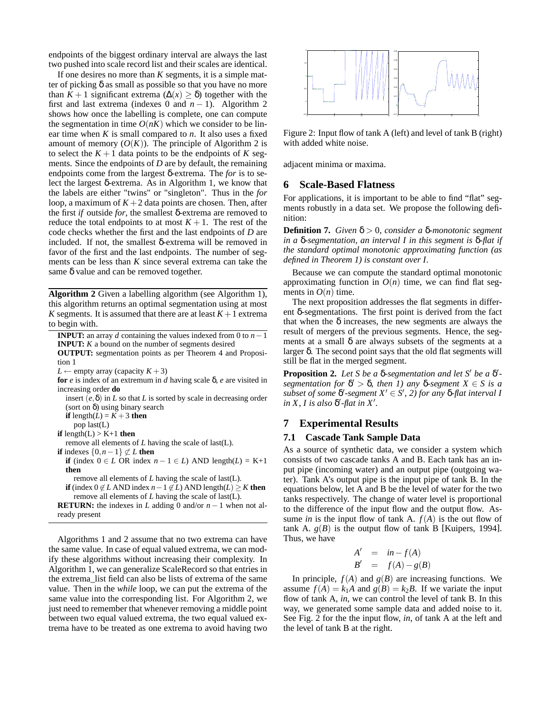endpoints of the biggest ordinary interval are always the last two pushed into scale record list and their scales are identical.

If one desires no more than *K* segments, it is a simple matter of picking  $\delta$  as small as possible so that you have no more than  $K + 1$  significant extrema ( $\Delta(x) \geq \delta$ ) together with the first and last extrema (indexes 0 and  $n - 1$ ). Algorithm 2 shows how once the labelling is complete, one can compute the segmentation in time  $O(nK)$  which we consider to be linear time when  $K$  is small compared to  $n$ . It also uses a fixed amount of memory  $(O(K))$ . The principle of Algorithm 2 is to select the  $K + 1$  data points to be the endpoints of K segments. Since the endpoints of *D* are by default, the remaining endpoints come from the largest δ-extrema. The *for* is to select the largest δ-extrema. As in Algorithm 1, we know that the labels are either "twins" or "singleton". Thus in the *for* loop, a maximum of  $K + 2$  data points are chosen. Then, after the first *if* outside *for*, the smallest δ-extrema are removed to reduce the total endpoints to at most  $K + 1$ . The rest of the code checks whether the first and the last endpoints of *D* are included. If not, the smallest δ-extrema will be removed in favor of the first and the last endpoints. The number of segments can be less than *K* since several extrema can take the same δ value and can be removed together.

**Algorithm 2** Given a labelling algorithm (see Algorithm 1), this algorithm returns an optimal segmentation using at most *K* segments. It is assumed that there are at least  $K+1$  extrema to begin with.

**INPUT:** an array *d* containing the values indexed from 0 to  $n-1$ **INPUT:** *K* a bound on the number of segments desired **OUTPUT:** segmentation points as per Theorem 4 and Proposition 1 *L* ← empty array (capacity  $K + 3$ ) **for** *e* is index of an extremum in *d* having scale δ, *e* are visited in increasing order **do** insert  $(e, \delta)$  in *L* so that *L* is sorted by scale in decreasing order (sort on δ) using binary search **if** length( $L$ ) =  $K + 3$  **then** pop last(L) **if** length( $L$ ) > K+1 **then** remove all elements of *L* having the scale of last(L). **if** indexes  $\{0, n-1\} \not\subset L$  **then if** (index  $0 \in L$  OR index  $n - 1 \in L$ ) AND length(*L*) = K+1 **then** remove all elements of *L* having the scale of last(L). **if** (index 0 ∉ *L* AND index  $n-1$  ∉ *L*) AND length(*L*) ≥ *K* **then** remove all elements of *L* having the scale of last(L). **RETURN:** the indexes in *L* adding 0 and/or  $n - 1$  when not already present

Algorithms 1 and 2 assume that no two extrema can have the same value. In case of equal valued extrema, we can modify these algorithms without increasing their complexity. In Algorithm 1, we can generalize ScaleRecord so that entries in the extrema\_list field can also be lists of extrema of the same value. Then in the *while* loop, we can put the extrema of the same value into the corresponding list. For Algorithm 2, we just need to remember that whenever removing a middle point between two equal valued extrema, the two equal valued extrema have to be treated as one extrema to avoid having two



Figure 2: Input flow of tank A (left) and level of tank B (right) with added white noise.

adjacent minima or maxima.

### **6 Scale-Based Flatness**

For applications, it is important to be able to find "flat" segments robustly in a data set. We propose the following definition:

**Definition 7.** *Given* δ > 0*, consider a* δ*-monotonic segment in a* δ*-segmentation, an interval I in this segment is* δ*-flat if the standard optimal monotonic approximating function (as defined in Theorem 1) is constant over I.*

Because we can compute the standard optimal monotonic approximating function in  $O(n)$  time, we can find flat segments in  $O(n)$  time.

The next proposition addresses the flat segments in different δ-segmentations. The first point is derived from the fact that when the  $\delta$  increases, the new segments are always the result of mergers of the previous segments. Hence, the segments at a small  $\delta$  are always subsets of the segments at a larger δ. The second point says that the old flat segments will still be flat in the merged segment.

**Proposition 2.** Let *S* be a δ-segmentation and let *S'* be a δ'*segmentation for*  $\delta' > \delta$ , then *I*) any  $\delta$ -segment *X*  $\in$  *S* is a  $subset of some \delta'$ -segment  $X' \in S'$ , 2) for any  $\delta$ -flat interval *I*  $\int$ *in X, I is also*  $\delta'$ -flat in X'.

## **7 Experimental Results**

### **7.1 Cascade Tank Sample Data**

As a source of synthetic data, we consider a system which consists of two cascade tanks A and B. Each tank has an input pipe (incoming water) and an output pipe (outgoing water). Tank A's output pipe is the input pipe of tank B. In the equations below, let A and B be the level of water for the two tanks respectively. The change of water level is proportional to the difference of the input flow and the output flow. Assume *in* is the input flow of tank A.  $f(A)$  is the out flow of tank A.  $g(B)$  is the output flow of tank B [Kuipers, 1994]. Thus, we have

$$
A' = in - f(A)
$$
  

$$
B' = f(A) - g(B)
$$

In principle,  $f(A)$  and  $g(B)$  are increasing functions. We assume  $f(A) = k_1 A$  and  $g(B) = k_2 B$ . If we variate the input flow of tank A, *in*, we can control the level of tank B. In this way, we generated some sample data and added noise to it. See Fig. 2 for the the input flow, *in*, of tank A at the left and the level of tank B at the right.